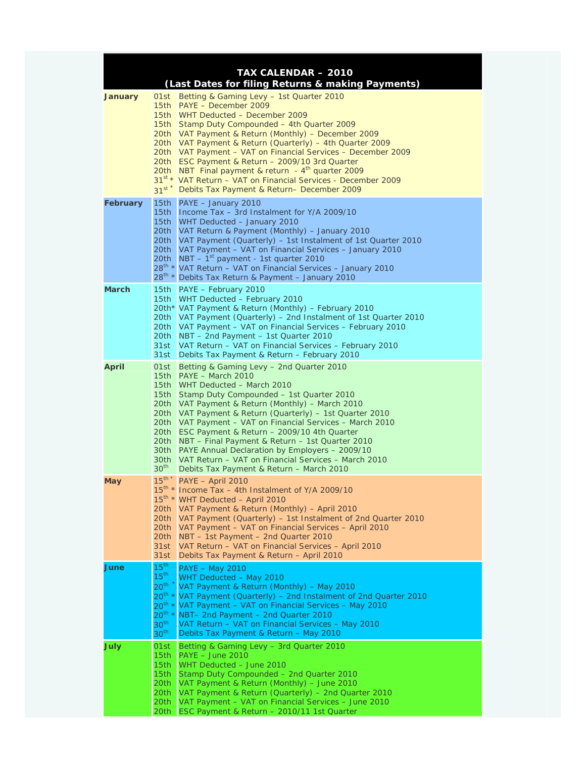| <b>TAX CALENDAR - 2010</b><br>(Last Dates for filing Returns & making Payments) |                                                                                                  |                                                                                                                                                                                                                                                                                                                                                                                                                                                                                                                                                                                                              |  |
|---------------------------------------------------------------------------------|--------------------------------------------------------------------------------------------------|--------------------------------------------------------------------------------------------------------------------------------------------------------------------------------------------------------------------------------------------------------------------------------------------------------------------------------------------------------------------------------------------------------------------------------------------------------------------------------------------------------------------------------------------------------------------------------------------------------------|--|
| <b>January</b>                                                                  | 01st<br>$31^{st}$                                                                                | Betting & Gaming Levy - 1st Quarter 2010<br>15th PAYE - December 2009<br>15th WHT Deducted - December 2009<br>15th Stamp Duty Compounded – 4th Quarter 2009<br>20th VAT Payment & Return (Monthly) - December 2009<br>20th VAT Payment & Return (Quarterly) – 4th Quarter 2009<br>20th VAT Payment – VAT on Financial Services – December 2009<br>20th ESC Payment & Return - 2009/10 3rd Quarter<br>20th NBT Final payment & return - $4th$ quarter 2009<br>31st * VAT Return - VAT on Financial Services - December 2009<br>Debits Tax Payment & Return- December 2009                                     |  |
| February                                                                        |                                                                                                  | 15th PAYE - January 2010<br>15th Income Tax – 3rd Instalment for Y/A 2009/10<br>15th WHT Deducted - January 2010<br>20th VAT Return & Payment (Monthly) - January 2010<br>20th VAT Payment (Quarterly) – 1st Instalment of 1st Quarter 2010<br>20th VAT Payment - VAT on Financial Services - January 2010<br>20th $\sqrt{NBT} - 1^{st}$ payment - 1st quarter 2010<br>28 <sup>th</sup> * VAT Return - VAT on Financial Services - January 2010<br>28 <sup>th</sup> * Debits Tax Return & Payment - January 2010                                                                                             |  |
| <b>March</b>                                                                    | 31st                                                                                             | 15th PAYE - February 2010<br>15th WHT Deducted - February 2010<br>20th* VAT Payment & Return (Monthly) - February 2010<br>20th VAT Payment (Quarterly) – 2nd Instalment of 1st Quarter 2010<br>20th VAT Payment - VAT on Financial Services - February 2010<br>20th NBT - 2nd Payment - 1st Quarter 2010<br>31st VAT Return - VAT on Financial Services - February 2010<br>Debits Tax Payment & Return - February 2010                                                                                                                                                                                       |  |
| <b>April</b>                                                                    | 30 <sub>th</sub><br>30 <sup>th</sup>                                                             | 01st Betting & Gaming Levy - 2nd Quarter 2010<br>15th PAYE - March 2010<br>15th WHT Deducted - March 2010<br>15th Stamp Duty Compounded - 1st Quarter 2010<br>20th VAT Payment & Return (Monthly) - March 2010<br>20th VAT Payment & Return (Quarterly) - 1st Quarter 2010<br>20th VAT Payment – VAT on Financial Services – March 2010<br>20th ESC Payment & Return - 2009/10 4th Quarter<br>20th NBT – Final Payment & Return – 1st Quarter 2010<br>30th PAYE Annual Declaration by Employers - 2009/10<br>VAT Return - VAT on Financial Services - March 2010<br>Debits Tax Payment & Return - March 2010 |  |
| May                                                                             | $15^{th}$ *<br>20th<br>20th<br>20th<br>20th<br>31st<br>31st                                      | PAYE - April 2010<br>15 <sup>th</sup> * Income Tax - 4th Instalment of Y/A 2009/10<br>15 <sup>th</sup> * WHT Deducted - April 2010<br>VAT Payment & Return (Monthly) - April 2010<br>VAT Payment (Quarterly) – 1st Instalment of 2nd Quarter 2010<br>VAT Payment – VAT on Financial Services – April 2010<br>NBT - 1st Payment - 2nd Quarter 2010<br>VAT Return - VAT on Financial Services - April 2010<br>Debits Tax Payment & Return - April 2010                                                                                                                                                         |  |
| June                                                                            | 15 <sup>th</sup><br>15 <sup>th</sup><br>20 <sup>th</sup><br>30 <sup>th</sup><br>30 <sup>th</sup> | <b>PAYE - May 2010</b><br>WHT Deducted - May 2010<br>VAT Payment & Return (Monthly) - May 2010<br>20 <sup>th</sup> * VAT Payment (Quarterly) - 2nd Instalment of 2nd Quarter 2010<br>20 <sup>th</sup> * VAT Payment - VAT on Financial Services - May 2010<br>$20^{th}$ * NBT- 2nd Payment - 2nd Quarter 2010<br>VAT Return - VAT on Financial Services - May 2010<br>Debits Tax Payment & Return - May 2010                                                                                                                                                                                                 |  |
| <b>July</b>                                                                     | 01st<br>15th<br>15 <sub>th</sub><br>15 <sub>th</sub><br>20th<br>20th<br>20th<br>20th             | Betting & Gaming Levy – 3rd Quarter 2010<br>$PAYE - June 2010$<br>WHT Deducted - June 2010<br>Stamp Duty Compounded - 2nd Quarter 2010<br>VAT Payment & Return (Monthly) – June 2010<br>VAT Payment & Return (Quarterly) - 2nd Quarter 2010<br>VAT Payment - VAT on Financial Services - June 2010<br>ESC Payment & Return - 2010/11 1st Quarter                                                                                                                                                                                                                                                             |  |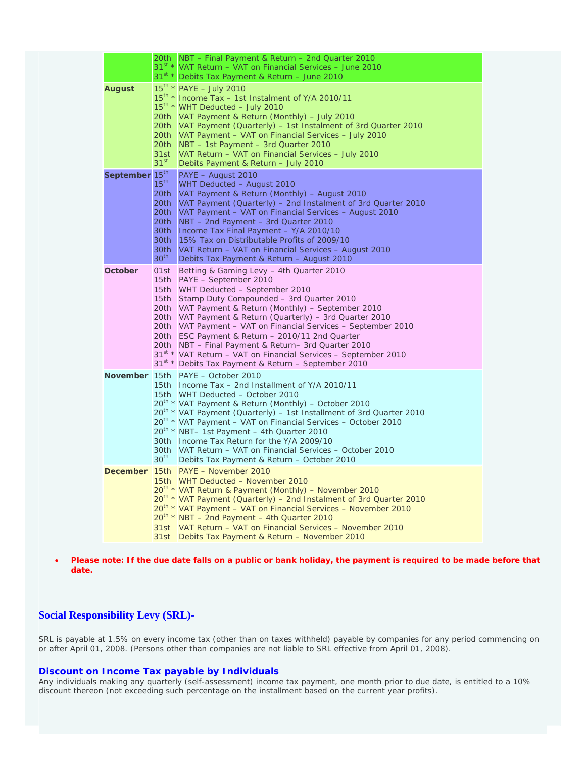|                            |                                                                      | 20th NBT - Final Payment & Return - 2nd Quarter 2010<br>31 <sup>st</sup> * VAT Return - VAT on Financial Services - June 2010<br>31 <sup>st *</sup> Debits Tax Payment & Return - June 2010                                                                                                                                                                                                                                                                                                                                                                                                                        |
|----------------------------|----------------------------------------------------------------------|--------------------------------------------------------------------------------------------------------------------------------------------------------------------------------------------------------------------------------------------------------------------------------------------------------------------------------------------------------------------------------------------------------------------------------------------------------------------------------------------------------------------------------------------------------------------------------------------------------------------|
| <b>August</b>              | 20th.<br>31st<br>31 <sup>st</sup>                                    | $15^{\text{th}}$ * PAYE - July 2010<br>15 <sup>th</sup> * Income Tax - 1st Instalment of Y/A 2010/11<br>15 <sup>th</sup> * WHT Deducted - July 2010<br>20th VAT Payment & Return (Monthly) – July 2010<br>20th VAT Payment (Quarterly) – 1st Instalment of 3rd Quarter 2010<br>20th VAT Payment - VAT on Financial Services - July 2010<br>NBT - 1st Payment - 3rd Quarter 2010<br>VAT Return – VAT on Financial Services – July 2010<br>Debits Payment & Return - July 2010                                                                                                                                       |
| September 15 <sup>th</sup> | $15^{\text{th}}$<br>20th<br>20th<br>30th<br>30th<br>30 <sup>th</sup> | PAYE - August 2010<br>WHT Deducted - August 2010<br>VAT Payment & Return (Monthly) - August 2010<br>VAT Payment (Quarterly) – 2nd Instalment of 3rd Quarter 2010<br>20th   VAT Payment – VAT on Financial Services – August 2010<br>20th NBT - 2nd Payment - 3rd Quarter 2010<br>30th   Income Tax Final Payment - Y/A 2010/10<br>15% Tax on Distributable Profits of 2009/10<br>VAT Return - VAT on Financial Services - August 2010<br>Debits Tax Payment & Return - August 2010                                                                                                                                 |
| October                    |                                                                      | 01st Betting & Gaming Levy - 4th Quarter 2010<br>15th PAYE - September 2010<br>15th WHT Deducted - September 2010<br>15th Stamp Duty Compounded - 3rd Quarter 2010<br>20th VAT Payment & Return (Monthly) – September 2010<br>20th VAT Payment & Return (Quarterly) – 3rd Quarter 2010<br>20th VAT Payment - VAT on Financial Services - September 2010<br>20th ESC Payment & Return - 2010/11 2nd Quarter<br>20th NBT - Final Payment & Return- 3rd Quarter 2010<br>31 <sup>st</sup> * VAT Return – VAT on Financial Services – September 2010<br>31 <sup>st</sup> * Debits Tax Payment & Return - September 2010 |
|                            | $30^{\text{th}}$                                                     | November 15th PAYE - October 2010<br>15th Income Tax - 2nd Installment of Y/A 2010/11<br>15th WHT Deducted - October 2010<br>20 <sup>th</sup> * VAT Payment & Return (Monthly) – October 2010<br>20 <sup>th</sup> * VAT Payment (Quarterly) – 1st Installment of 3rd Quarter 2010<br>20 <sup>th</sup> * VAT Payment - VAT on Financial Services - October 2010<br>20 <sup>th</sup> * NBT- 1st Payment - 4th Quarter 2010<br>30th Income Tax Return for the Y/A 2009/10<br>30th VAT Return - VAT on Financial Services - October 2010<br>Debits Tax Payment & Return - October 2010                                 |
| <b>December</b>            |                                                                      | 15th PAYE - November 2010<br>15th WHT Deducted - November 2010<br>20 <sup>th</sup> * VAT Return & Payment (Monthly) - November 2010<br>20 <sup>th</sup> * VAT Payment (Quarterly) – 2nd Instalment of 3rd Quarter 2010<br>20 <sup>th</sup> * VAT Payment - VAT on Financial Services - November 2010<br>$20^{th}$ * NBT - 2nd Payment - 4th Quarter 2010<br>31st VAT Return – VAT on Financial Services – November 2010<br>31st Debits Tax Payment & Return - November 2010                                                                                                                                        |

• **Please note: If the due date falls on a public or bank holiday, the payment is required to be made before that date.** 

## **Social Responsibility Levy (SRL)-**

SRL is payable at 1.5% on every income tax (other than on taxes withheld) payable by companies for any period commencing on or after April 01, 2008. (Persons other than companies are not liable to SRL effective from April 01, 2008).

## **Discount on Income Tax payable by Individuals**

Any individuals making any quarterly (self-assessment) income tax payment, one month prior to due date, is entitled to a 10% discount thereon (not exceeding such percentage on the installment based on the current year profits).